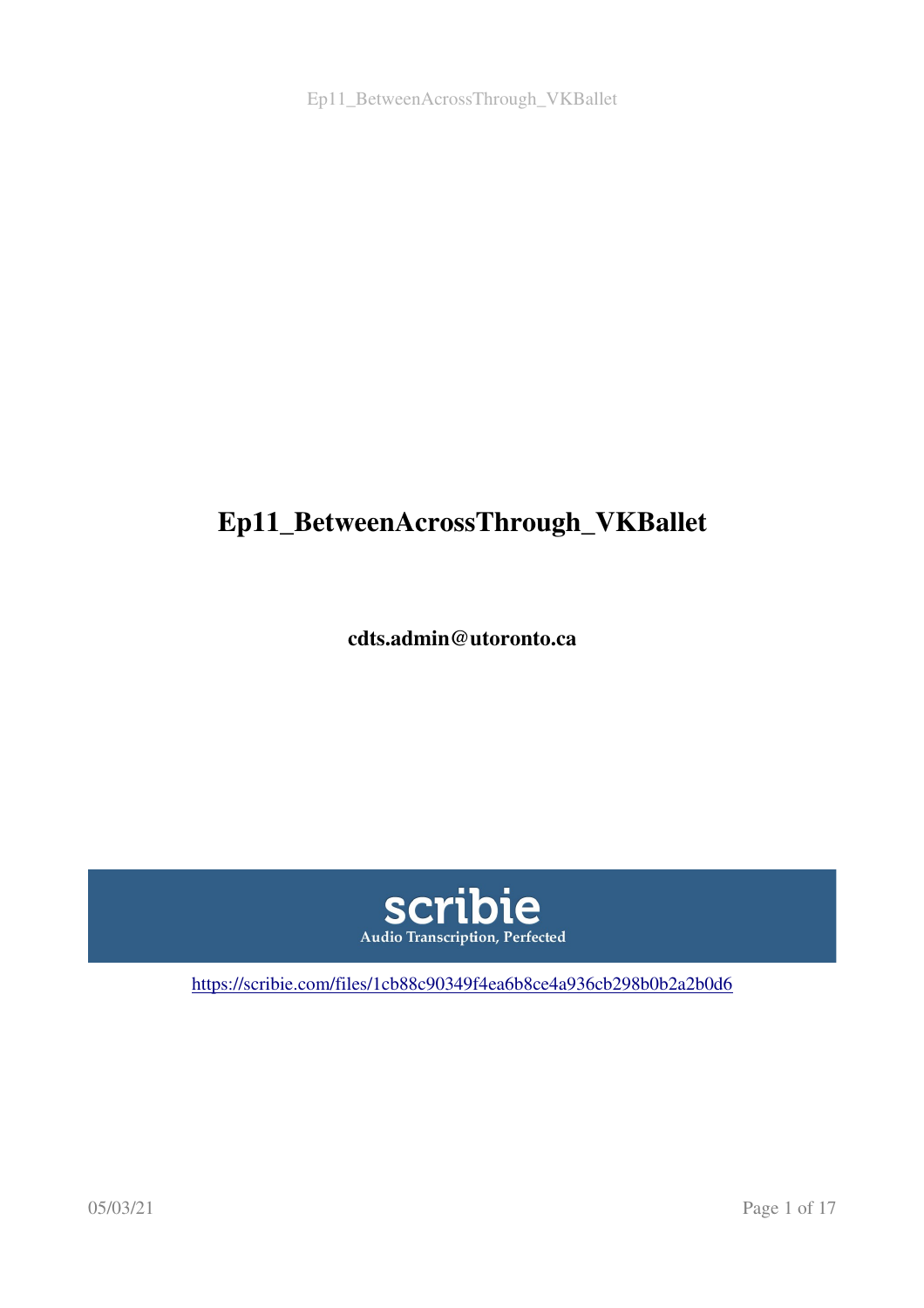# Ep11\_BetweenAcrossThrough\_VKBallet

cdts.admin@utoronto.ca



<https://scribie.com/files/1cb88c90349f4ea6b8ce4a936cb298b0b2a2b0d6>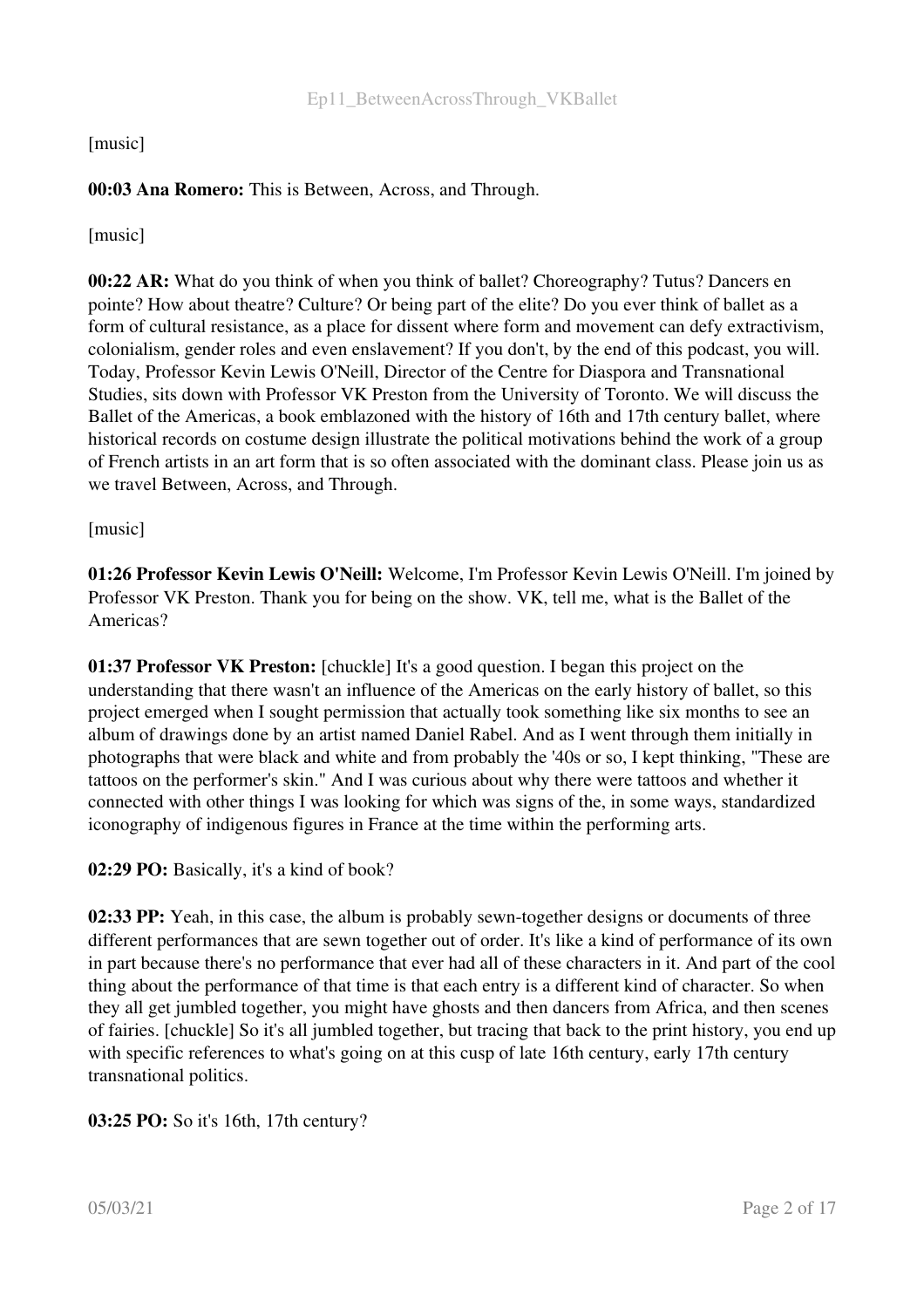[music]

### 00:03 Ana Romero: This is Between, Across, and Through.

[music]

00:22 AR: What do you think of when you think of ballet? Choreography? Tutus? Dancers en pointe? How about theatre? Culture? Or being part of the elite? Do you ever think of ballet as a form of cultural resistance, as a place for dissent where form and movement can defy extractivism, colonialism, gender roles and even enslavement? If you don't, by the end of this podcast, you will. Today, Professor Kevin Lewis O'Neill, Director of the Centre for Diaspora and Transnational Studies, sits down with Professor VK Preston from the University of Toronto. We will discuss the Ballet of the Americas, a book emblazoned with the history of 16th and 17th century ballet, where historical records on costume design illustrate the political motivations behind the work of a group of French artists in an art form that is so often associated with the dominant class. Please join us as we travel Between, Across, and Through.

[music]

01:26 Professor Kevin Lewis O'Neill: Welcome, I'm Professor Kevin Lewis O'Neill. I'm joined by Professor VK Preston. Thank you for being on the show. VK, tell me, what is the Ballet of the Americas?

01:37 Professor VK Preston: [chuckle] It's a good question. I began this project on the understanding that there wasn't an influence of the Americas on the early history of ballet, so this project emerged when I sought permission that actually took something like six months to see an album of drawings done by an artist named Daniel Rabel. And as I went through them initially in photographs that were black and white and from probably the '40s or so, I kept thinking, "These are tattoos on the performer's skin." And I was curious about why there were tattoos and whether it connected with other things I was looking for which was signs of the, in some ways, standardized iconography of indigenous figures in France at the time within the performing arts.

02:29 PO: Basically, it's a kind of book?

02:33 PP: Yeah, in this case, the album is probably sewn-together designs or documents of three different performances that are sewn together out of order. It's like a kind of performance of its own in part because there's no performance that ever had all of these characters in it. And part of the cool thing about the performance of that time is that each entry is a different kind of character. So when they all get jumbled together, you might have ghosts and then dancers from Africa, and then scenes of fairies. [chuckle] So it's all jumbled together, but tracing that back to the print history, you end up with specific references to what's going on at this cusp of late 16th century, early 17th century transnational politics.

03:25 PO: So it's 16th, 17th century?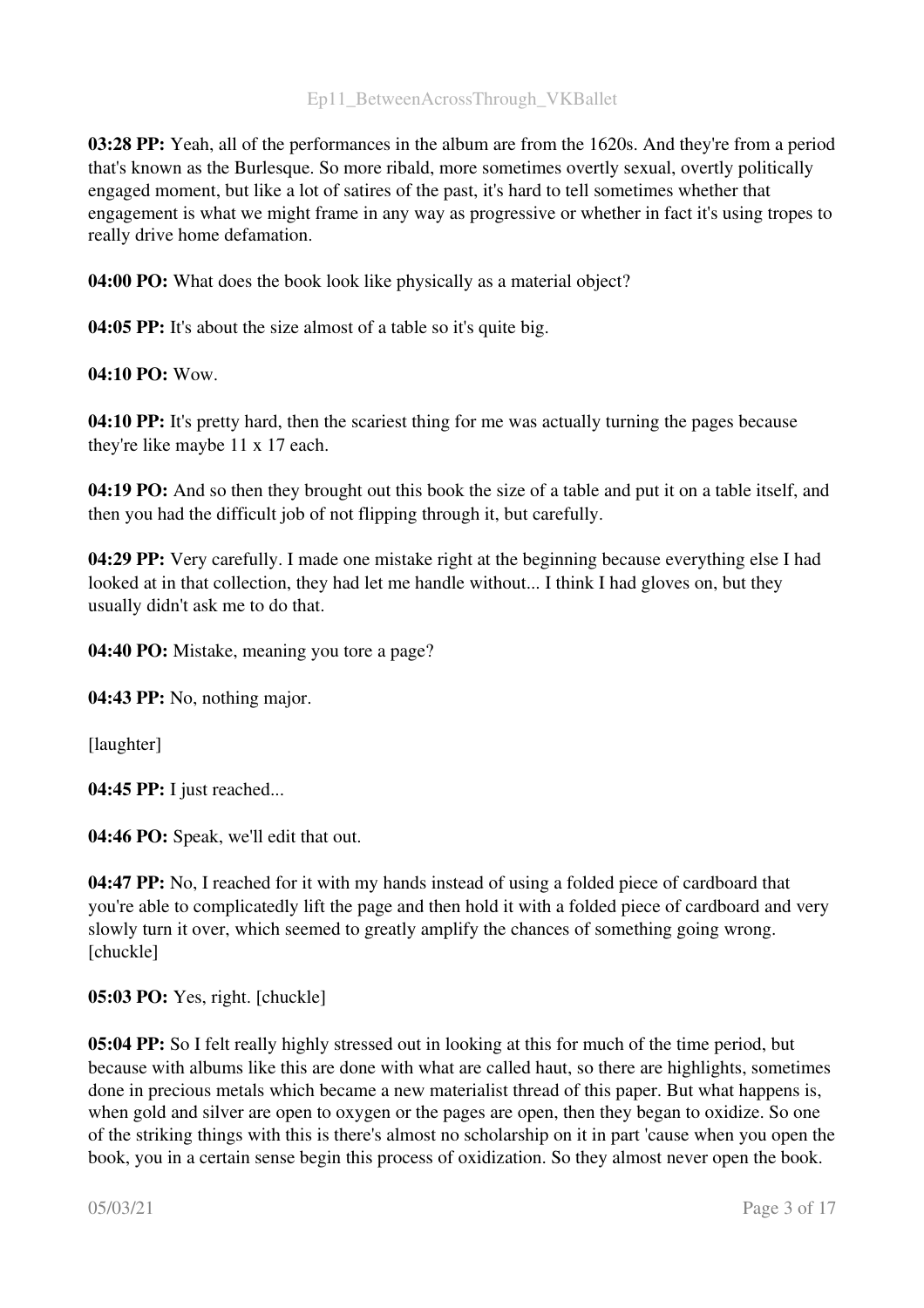03:28 PP: Yeah, all of the performances in the album are from the 1620s. And they're from a period that's known as the Burlesque. So more ribald, more sometimes overtly sexual, overtly politically engaged moment, but like a lot of satires of the past, it's hard to tell sometimes whether that engagement is what we might frame in any way as progressive or whether in fact it's using tropes to really drive home defamation.

04:00 PO: What does the book look like physically as a material object?

04:05 PP: It's about the size almost of a table so it's quite big.

04:10 PO: Wow.

04:10 PP: It's pretty hard, then the scariest thing for me was actually turning the pages because they're like maybe 11 x 17 each.

04:19 PO: And so then they brought out this book the size of a table and put it on a table itself, and then you had the difficult job of not flipping through it, but carefully.

04:29 PP: Very carefully. I made one mistake right at the beginning because everything else I had looked at in that collection, they had let me handle without... I think I had gloves on, but they usually didn't ask me to do that.

04:40 PO: Mistake, meaning you tore a page?

04:43 PP: No, nothing major.

[laughter]

04:45 PP: I just reached...

04:46 PO: Speak, we'll edit that out.

04:47 PP: No, I reached for it with my hands instead of using a folded piece of cardboard that you're able to complicatedly lift the page and then hold it with a folded piece of cardboard and very slowly turn it over, which seemed to greatly amplify the chances of something going wrong. [chuckle]

05:03 PO: Yes, right. [chuckle]

05:04 PP: So I felt really highly stressed out in looking at this for much of the time period, but because with albums like this are done with what are called haut, so there are highlights, sometimes done in precious metals which became a new materialist thread of this paper. But what happens is, when gold and silver are open to oxygen or the pages are open, then they began to oxidize. So one of the striking things with this is there's almost no scholarship on it in part 'cause when you open the book, you in a certain sense begin this process of oxidization. So they almost never open the book.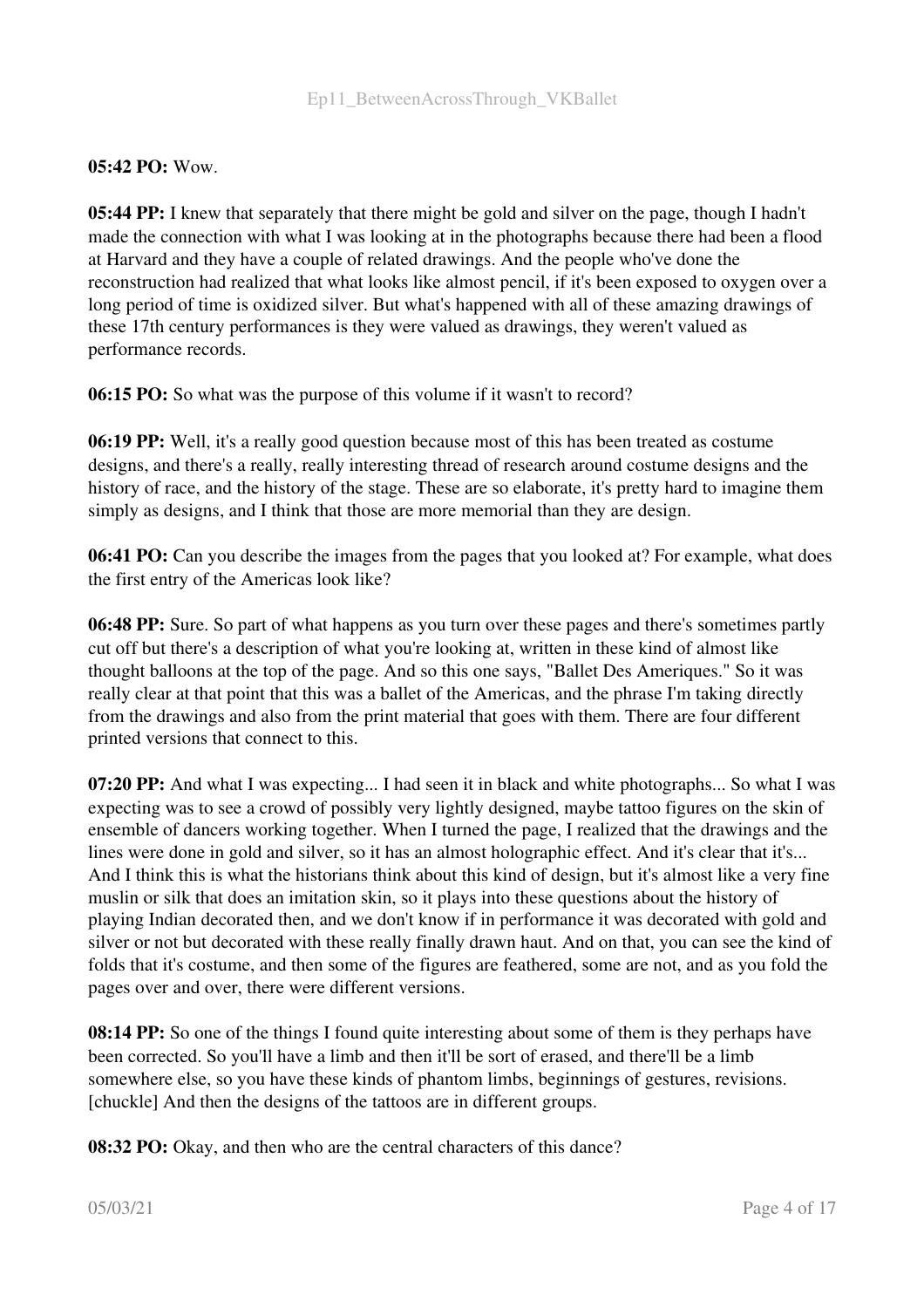#### $05:42$  PO: Wow.

05:44 PP: I knew that separately that there might be gold and silver on the page, though I hadn't made the connection with what I was looking at in the photographs because there had been a flood at Harvard and they have a couple of related drawings. And the people who've done the reconstruction had realized that what looks like almost pencil, if it's been exposed to oxygen over a long period of time is oxidized silver. But what's happened with all of these amazing drawings of these 17th century performances is they were valued as drawings, they weren't valued as performance records.

06:15 PO: So what was the purpose of this volume if it wasn't to record?

06:19 PP: Well, it's a really good question because most of this has been treated as costume designs, and there's a really, really interesting thread of research around costume designs and the history of race, and the history of the stage. These are so elaborate, it's pretty hard to imagine them simply as designs, and I think that those are more memorial than they are design.

06:41 PO: Can you describe the images from the pages that you looked at? For example, what does the first entry of the Americas look like?

06:48 PP: Sure. So part of what happens as you turn over these pages and there's sometimes partly cut off but there's a description of what you're looking at, written in these kind of almost like thought balloons at the top of the page. And so this one says, "Ballet Des Ameriques." So it was really clear at that point that this was a ballet of the Americas, and the phrase I'm taking directly from the drawings and also from the print material that goes with them. There are four different printed versions that connect to this.

07:20 PP: And what I was expecting... I had seen it in black and white photographs... So what I was expecting was to see a crowd of possibly very lightly designed, maybe tattoo figures on the skin of ensemble of dancers working together. When I turned the page, I realized that the drawings and the lines were done in gold and silver, so it has an almost holographic effect. And it's clear that it's... And I think this is what the historians think about this kind of design, but it's almost like a very fine muslin or silk that does an imitation skin, so it plays into these questions about the history of playing Indian decorated then, and we don't know if in performance it was decorated with gold and silver or not but decorated with these really finally drawn haut. And on that, you can see the kind of folds that it's costume, and then some of the figures are feathered, some are not, and as you fold the pages over and over, there were different versions.

08:14 PP: So one of the things I found quite interesting about some of them is they perhaps have been corrected. So you'll have a limb and then it'll be sort of erased, and there'll be a limb somewhere else, so you have these kinds of phantom limbs, beginnings of gestures, revisions. [chuckle] And then the designs of the tattoos are in different groups.

08:32 PO: Okay, and then who are the central characters of this dance?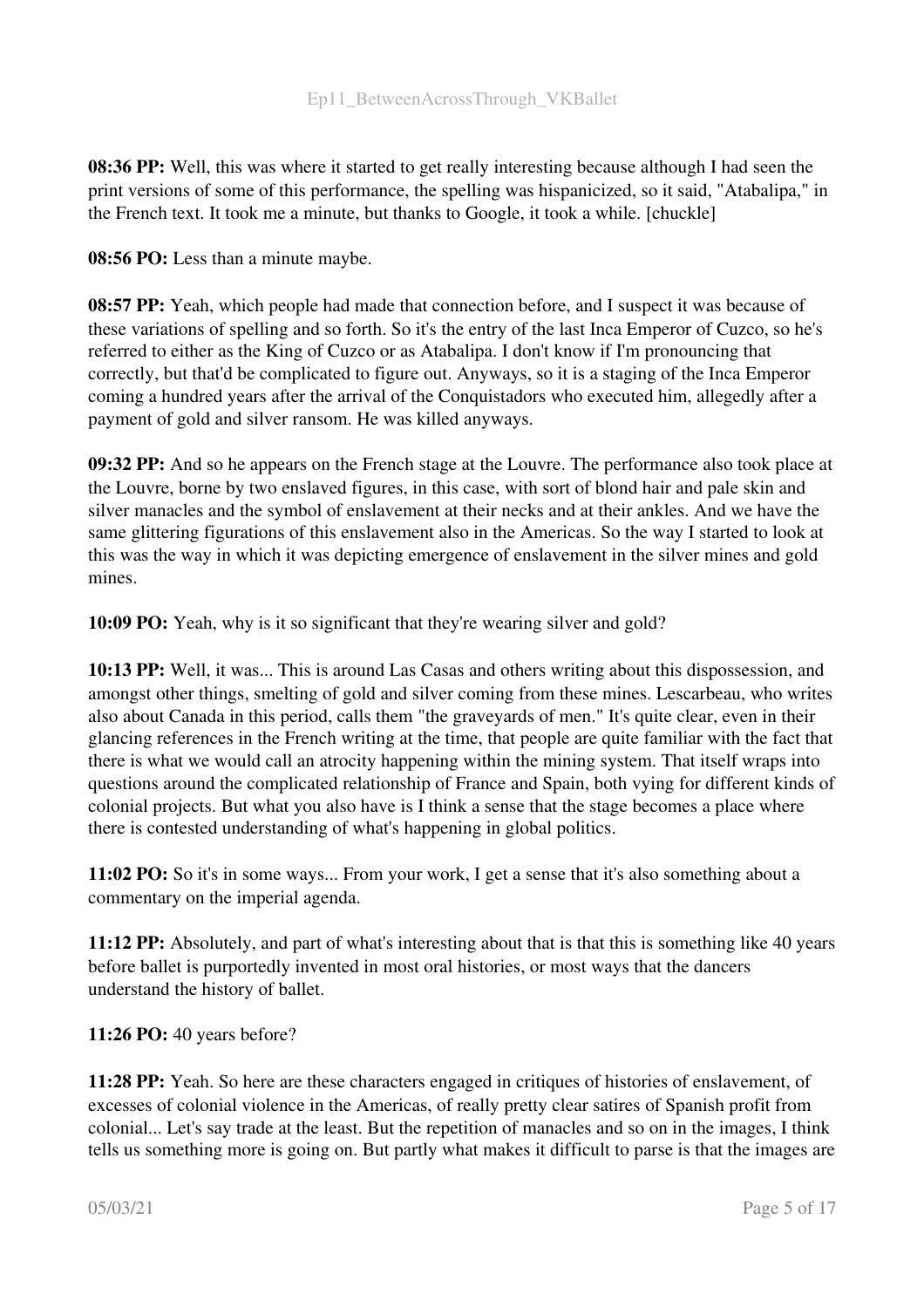08:36 PP: Well, this was where it started to get really interesting because although I had seen the print versions of some of this performance, the spelling was hispanicized, so it said, "Atabalipa," in the French text. It took me a minute, but thanks to Google, it took a while. [chuckle]

08:56 PO: Less than a minute maybe.

08:57 PP: Yeah, which people had made that connection before, and I suspect it was because of these variations of spelling and so forth. So it's the entry of the last Inca Emperor of Cuzco, so he's referred to either as the King of Cuzco or as Atabalipa. I don't know if I'm pronouncing that correctly, but that'd be complicated to figure out. Anyways, so it is a staging of the Inca Emperor coming a hundred years after the arrival of the Conquistadors who executed him, allegedly after a payment of gold and silver ransom. He was killed anyways.

09:32 PP: And so he appears on the French stage at the Louvre. The performance also took place at the Louvre, borne by two enslaved figures, in this case, with sort of blond hair and pale skin and silver manacles and the symbol of enslavement at their necks and at their ankles. And we have the same glittering figurations of this enslavement also in the Americas. So the way I started to look at this was the way in which it was depicting emergence of enslavement in the silver mines and gold mines.

10:09 PO: Yeah, why is it so significant that they're wearing silver and gold?

10:13 PP: Well, it was... This is around Las Casas and others writing about this dispossession, and amongst other things, smelting of gold and silver coming from these mines. Lescarbeau, who writes also about Canada in this period, calls them "the graveyards of men." It's quite clear, even in their glancing references in the French writing at the time, that people are quite familiar with the fact that there is what we would call an atrocity happening within the mining system. That itself wraps into questions around the complicated relationship of France and Spain, both vying for different kinds of colonial projects. But what you also have is I think a sense that the stage becomes a place where there is contested understanding of what's happening in global politics.

11:02 PO: So it's in some ways... From your work, I get a sense that it's also something about a commentary on the imperial agenda.

11:12 PP: Absolutely, and part of what's interesting about that is that this is something like 40 years before ballet is purportedly invented in most oral histories, or most ways that the dancers understand the history of ballet.

11:26 PO: 40 years before?

11:28 PP: Yeah. So here are these characters engaged in critiques of histories of enslavement, of excesses of colonial violence in the Americas, of really pretty clear satires of Spanish profit from colonial... Let's say trade at the least. But the repetition of manacles and so on in the images, I think tells us something more is going on. But partly what makes it difficult to parse is that the images are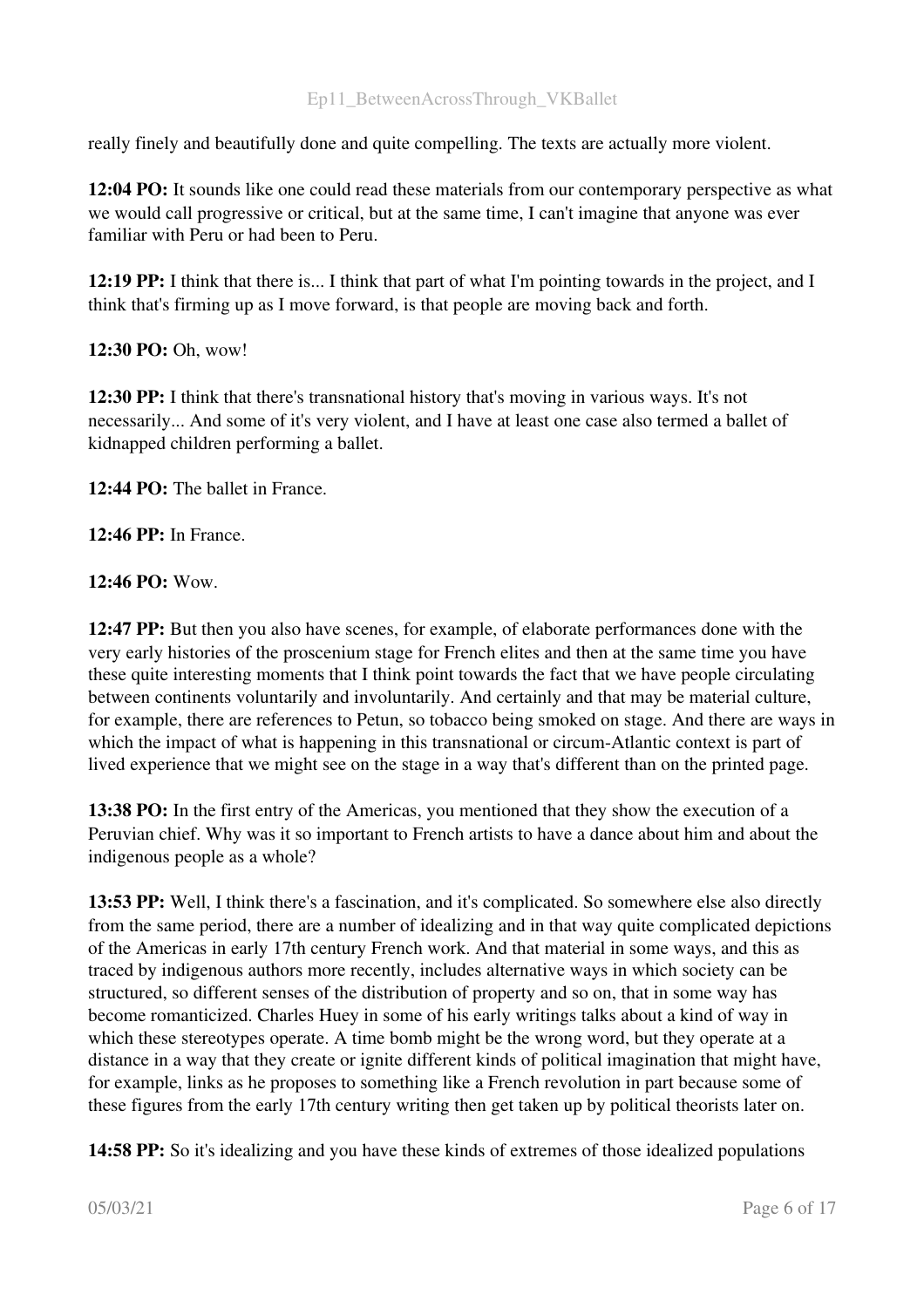really finely and beautifully done and quite compelling. The texts are actually more violent.

12:04 PO: It sounds like one could read these materials from our contemporary perspective as what we would call progressive or critical, but at the same time, I can't imagine that anyone was ever familiar with Peru or had been to Peru.

12:19 PP: I think that there is... I think that part of what I'm pointing towards in the project, and I think that's firming up as I move forward, is that people are moving back and forth.

# 12:30 PO: Oh, wow!

12:30 PP: I think that there's transnational history that's moving in various ways. It's not necessarily... And some of it's very violent, and I have at least one case also termed a ballet of kidnapped children performing a ballet.

12:44 PO: The ballet in France.

12:46 PP: In France.

# 12:46 PO: Wow.

12:47 PP: But then you also have scenes, for example, of elaborate performances done with the very early histories of the proscenium stage for French elites and then at the same time you have these quite interesting moments that I think point towards the fact that we have people circulating between continents voluntarily and involuntarily. And certainly and that may be material culture, for example, there are references to Petun, so tobacco being smoked on stage. And there are ways in which the impact of what is happening in this transnational or circum-Atlantic context is part of lived experience that we might see on the stage in a way that's different than on the printed page.

13:38 PO: In the first entry of the Americas, you mentioned that they show the execution of a Peruvian chief. Why was it so important to French artists to have a dance about him and about the indigenous people as a whole?

13:53 PP: Well, I think there's a fascination, and it's complicated. So somewhere else also directly from the same period, there are a number of idealizing and in that way quite complicated depictions of the Americas in early 17th century French work. And that material in some ways, and this as traced by indigenous authors more recently, includes alternative ways in which society can be structured, so different senses of the distribution of property and so on, that in some way has become romanticized. Charles Huey in some of his early writings talks about a kind of way in which these stereotypes operate. A time bomb might be the wrong word, but they operate at a distance in a way that they create or ignite different kinds of political imagination that might have, for example, links as he proposes to something like a French revolution in part because some of these figures from the early 17th century writing then get taken up by political theorists later on.

14:58 PP: So it's idealizing and you have these kinds of extremes of those idealized populations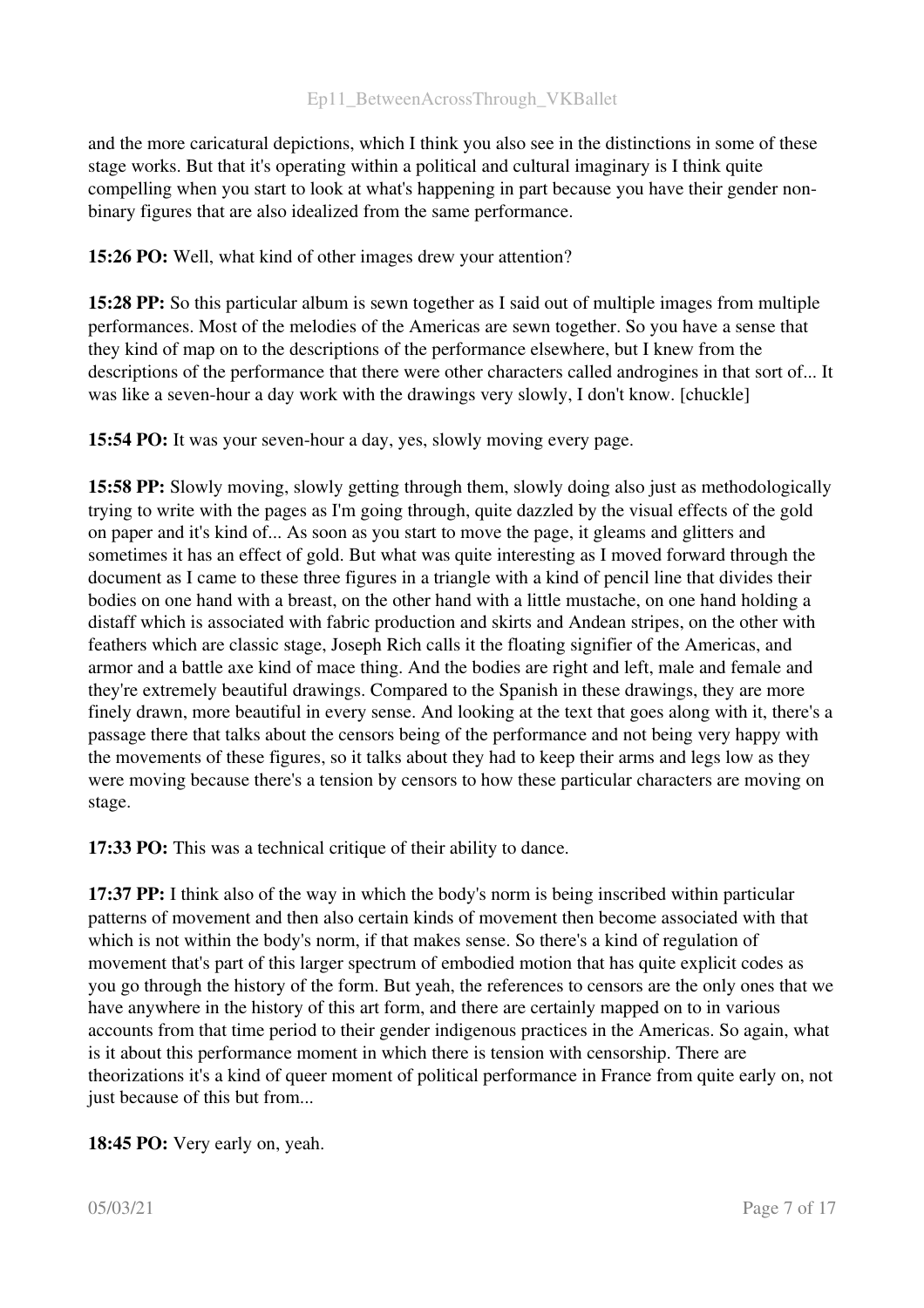and the more caricatural depictions, which I think you also see in the distinctions in some of these stage works. But that it's operating within a political and cultural imaginary is I think quite compelling when you start to look at what's happening in part because you have their gender nonbinary figures that are also idealized from the same performance.

15:26 PO: Well, what kind of other images drew your attention?

15:28 PP: So this particular album is sewn together as I said out of multiple images from multiple performances. Most of the melodies of the Americas are sewn together. So you have a sense that they kind of map on to the descriptions of the performance elsewhere, but I knew from the descriptions of the performance that there were other characters called androgines in that sort of... It was like a seven-hour a day work with the drawings very slowly, I don't know. [chuckle]

15:54 PO: It was your seven-hour a day, yes, slowly moving every page.

15:58 PP: Slowly moving, slowly getting through them, slowly doing also just as methodologically trying to write with the pages as I'm going through, quite dazzled by the visual effects of the gold on paper and it's kind of... As soon as you start to move the page, it gleams and glitters and sometimes it has an effect of gold. But what was quite interesting as I moved forward through the document as I came to these three figures in a triangle with a kind of pencil line that divides their bodies on one hand with a breast, on the other hand with a little mustache, on one hand holding a distaff which is associated with fabric production and skirts and Andean stripes, on the other with feathers which are classic stage, Joseph Rich calls it the floating signifier of the Americas, and armor and a battle axe kind of mace thing. And the bodies are right and left, male and female and they're extremely beautiful drawings. Compared to the Spanish in these drawings, they are more finely drawn, more beautiful in every sense. And looking at the text that goes along with it, there's a passage there that talks about the censors being of the performance and not being very happy with the movements of these figures, so it talks about they had to keep their arms and legs low as they were moving because there's a tension by censors to how these particular characters are moving on stage.

17:33 PO: This was a technical critique of their ability to dance.

17:37 PP: I think also of the way in which the body's norm is being inscribed within particular patterns of movement and then also certain kinds of movement then become associated with that which is not within the body's norm, if that makes sense. So there's a kind of regulation of movement that's part of this larger spectrum of embodied motion that has quite explicit codes as you go through the history of the form. But yeah, the references to censors are the only ones that we have anywhere in the history of this art form, and there are certainly mapped on to in various accounts from that time period to their gender indigenous practices in the Americas. So again, what is it about this performance moment in which there is tension with censorship. There are theorizations it's a kind of queer moment of political performance in France from quite early on, not just because of this but from...

18:45 PO: Very early on, yeah.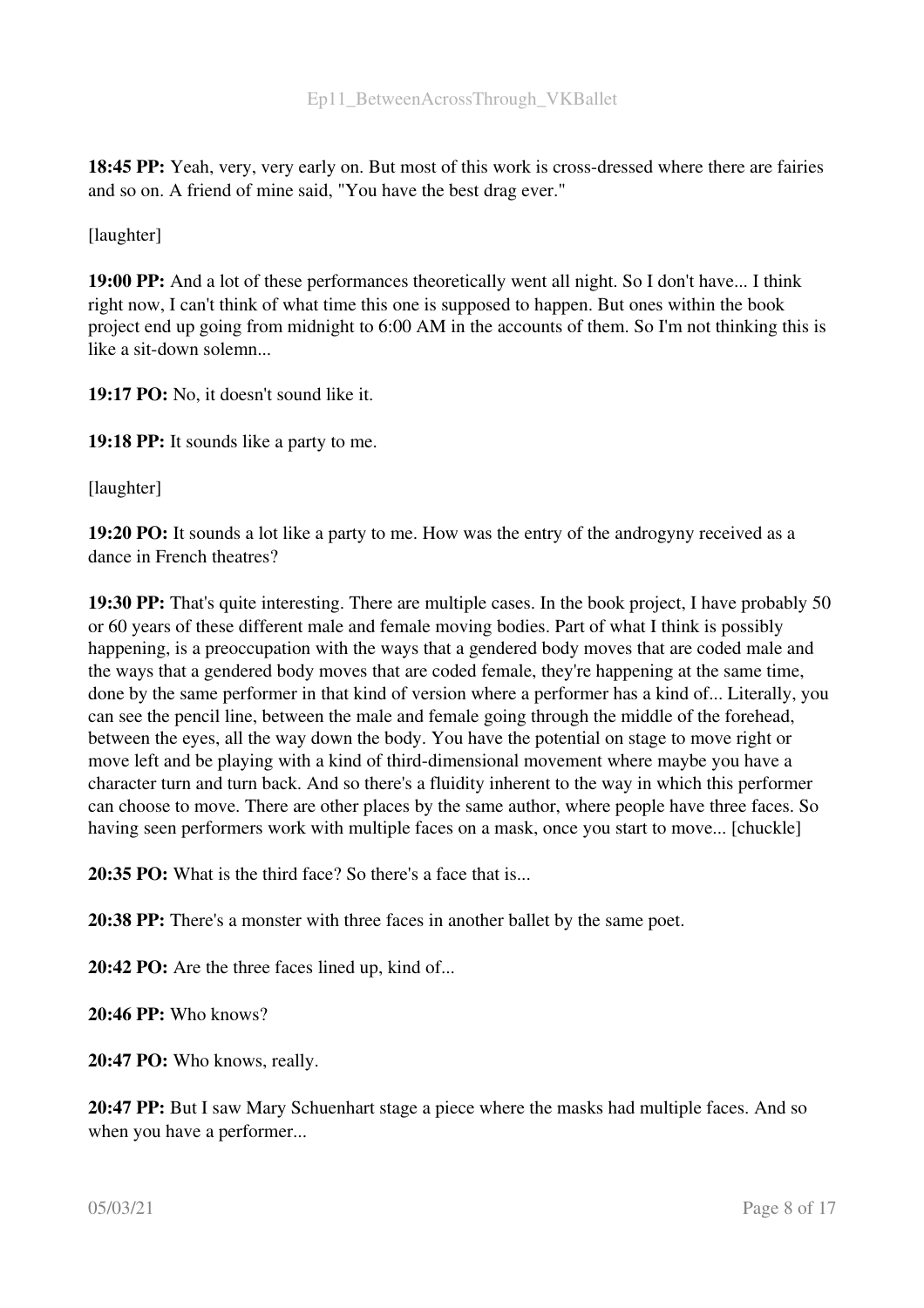18:45 PP: Yeah, very, very early on. But most of this work is cross-dressed where there are fairies and so on. A friend of mine said, "You have the best drag ever."

[laughter]

19:00 PP: And a lot of these performances theoretically went all night. So I don't have... I think right now, I can't think of what time this one is supposed to happen. But ones within the book project end up going from midnight to 6:00 AM in the accounts of them. So I'm not thinking this is like a sit-down solemn...

19:17 PO: No, it doesn't sound like it.

19:18 PP: It sounds like a party to me.

[laughter]

19:20 PO: It sounds a lot like a party to me. How was the entry of the androgyny received as a dance in French theatres?

19:30 PP: That's quite interesting. There are multiple cases. In the book project, I have probably 50 or 60 years of these different male and female moving bodies. Part of what I think is possibly happening, is a preoccupation with the ways that a gendered body moves that are coded male and the ways that a gendered body moves that are coded female, they're happening at the same time, done by the same performer in that kind of version where a performer has a kind of... Literally, you can see the pencil line, between the male and female going through the middle of the forehead, between the eyes, all the way down the body. You have the potential on stage to move right or move left and be playing with a kind of third-dimensional movement where maybe you have a character turn and turn back. And so there's a fluidity inherent to the way in which this performer can choose to move. There are other places by the same author, where people have three faces. So having seen performers work with multiple faces on a mask, once you start to move... [chuckle]

20:35 PO: What is the third face? So there's a face that is...

20:38 PP: There's a monster with three faces in another ballet by the same poet.

20:42 PO: Are the three faces lined up, kind of...

20:46 PP: Who knows?

20:47 PO: Who knows, really.

20:47 PP: But I saw Mary Schuenhart stage a piece where the masks had multiple faces. And so when you have a performer...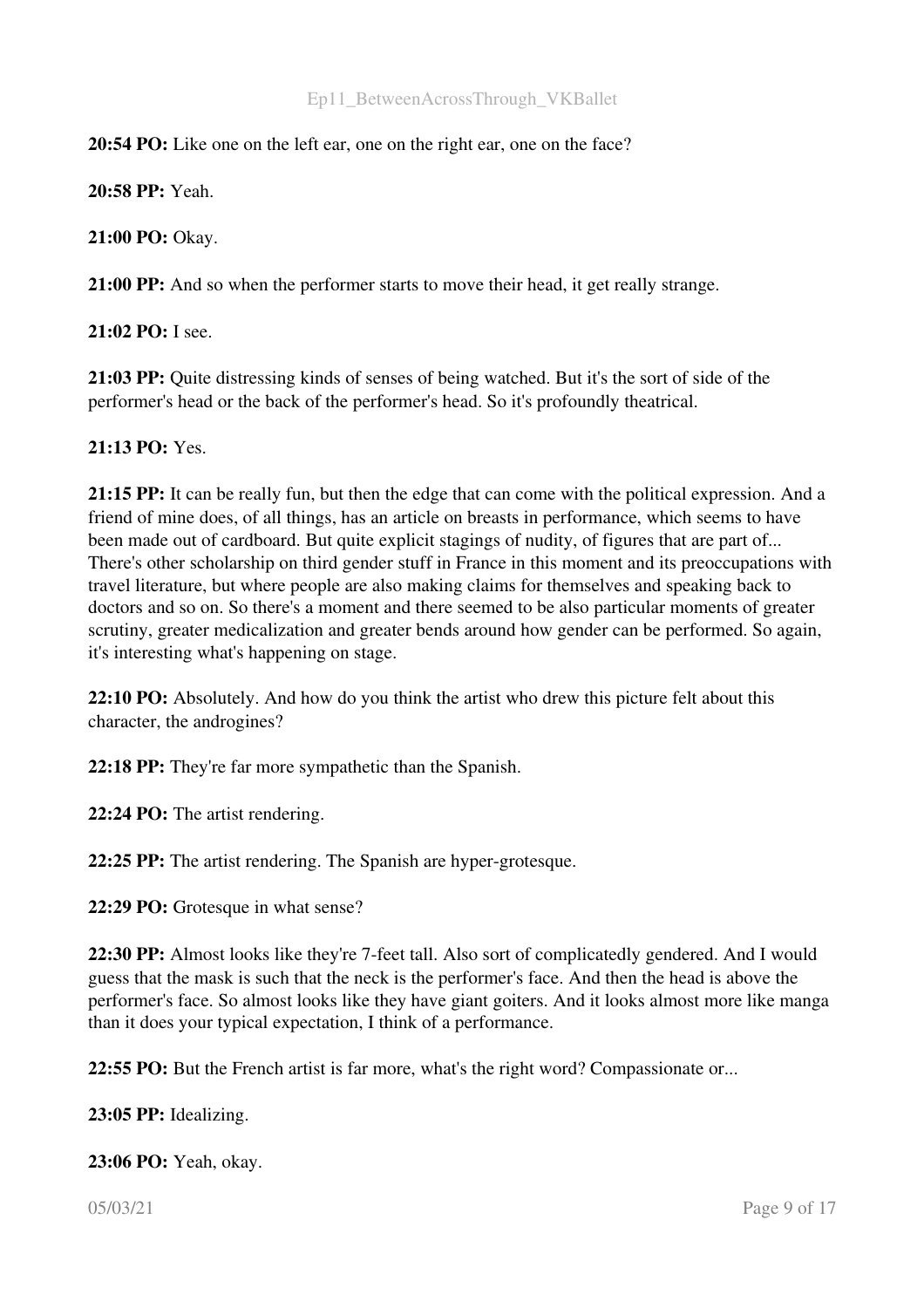#### 20:54 PO: Like one on the left ear, one on the right ear, one on the face?

20:58 PP: Yeah.

21:00 PO: Okay.

21:00 PP: And so when the performer starts to move their head, it get really strange.

21:02 PO: I see.

21:03 PP: Quite distressing kinds of senses of being watched. But it's the sort of side of the performer's head or the back of the performer's head. So it's profoundly theatrical.

#### 21:13 PO: Yes.

21:15 PP: It can be really fun, but then the edge that can come with the political expression. And a friend of mine does, of all things, has an article on breasts in performance, which seems to have been made out of cardboard. But quite explicit stagings of nudity, of figures that are part of... There's other scholarship on third gender stuff in France in this moment and its preoccupations with travel literature, but where people are also making claims for themselves and speaking back to doctors and so on. So there's a moment and there seemed to be also particular moments of greater scrutiny, greater medicalization and greater bends around how gender can be performed. So again, it's interesting what's happening on stage.

22:10 PO: Absolutely. And how do you think the artist who drew this picture felt about this character, the androgines?

22:18 PP: They're far more sympathetic than the Spanish.

22:24 PO: The artist rendering.

22:25 PP: The artist rendering. The Spanish are hyper-grotesque.

22:29 PO: Grotesque in what sense?

22:30 PP: Almost looks like they're 7-feet tall. Also sort of complicatedly gendered. And I would guess that the mask is such that the neck is the performer's face. And then the head is above the performer's face. So almost looks like they have giant goiters. And it looks almost more like manga than it does your typical expectation, I think of a performance.

22:55 PO: But the French artist is far more, what's the right word? Compassionate or...

23:05 PP: Idealizing.

23:06 PO: Yeah, okay.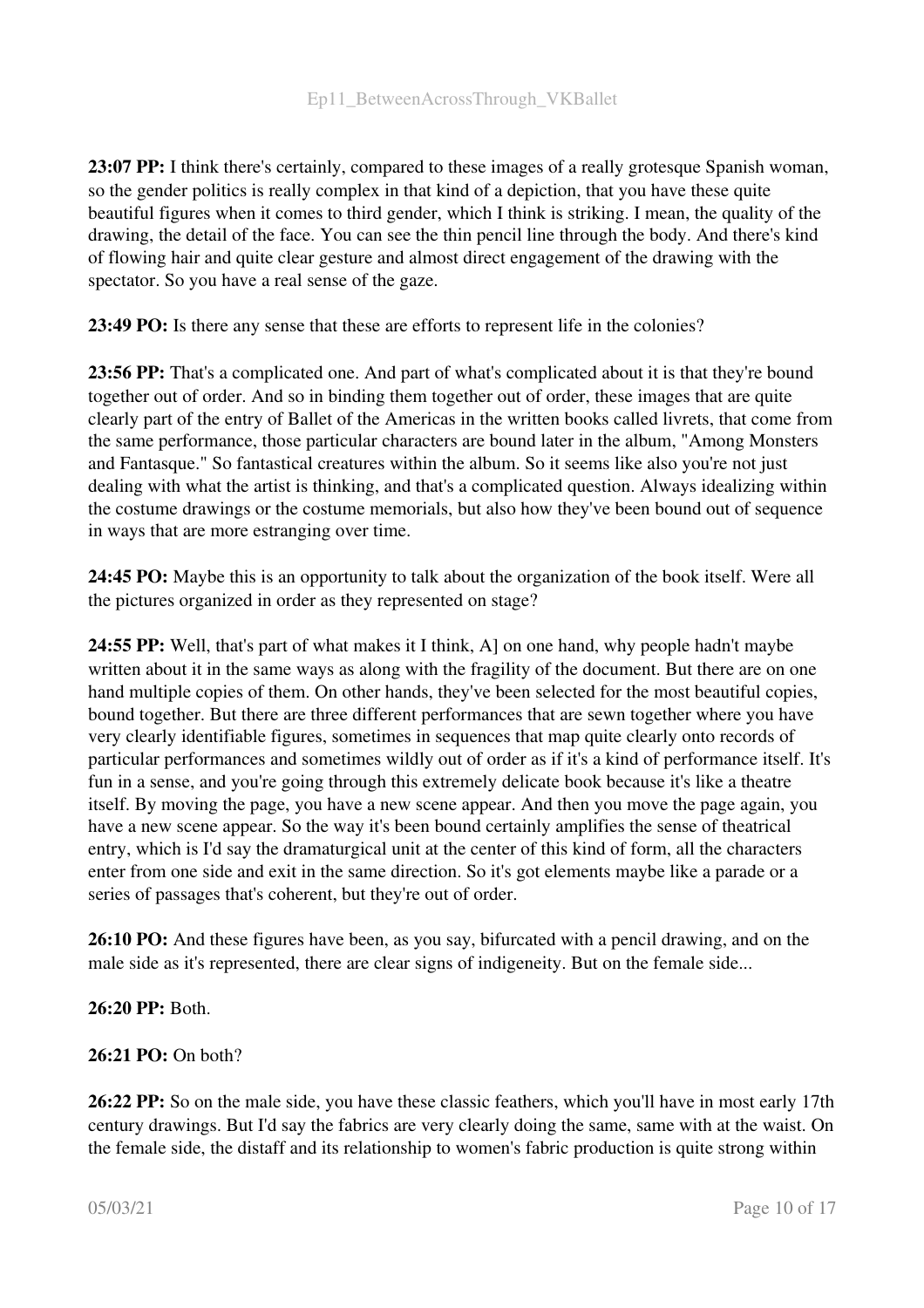23:07 PP: I think there's certainly, compared to these images of a really grotesque Spanish woman, so the gender politics is really complex in that kind of a depiction, that you have these quite beautiful figures when it comes to third gender, which I think is striking. I mean, the quality of the drawing, the detail of the face. You can see the thin pencil line through the body. And there's kind of flowing hair and quite clear gesture and almost direct engagement of the drawing with the spectator. So you have a real sense of the gaze.

23:49 PO: Is there any sense that these are efforts to represent life in the colonies?

23:56 PP: That's a complicated one. And part of what's complicated about it is that they're bound together out of order. And so in binding them together out of order, these images that are quite clearly part of the entry of Ballet of the Americas in the written books called livrets, that come from the same performance, those particular characters are bound later in the album, "Among Monsters and Fantasque." So fantastical creatures within the album. So it seems like also you're not just dealing with what the artist is thinking, and that's a complicated question. Always idealizing within the costume drawings or the costume memorials, but also how they've been bound out of sequence in ways that are more estranging over time.

24:45 PO: Maybe this is an opportunity to talk about the organization of the book itself. Were all the pictures organized in order as they represented on stage?

24:55 PP: Well, that's part of what makes it I think, A] on one hand, why people hadn't maybe written about it in the same ways as along with the fragility of the document. But there are on one hand multiple copies of them. On other hands, they've been selected for the most beautiful copies, bound together. But there are three different performances that are sewn together where you have very clearly identifiable figures, sometimes in sequences that map quite clearly onto records of particular performances and sometimes wildly out of order as if it's a kind of performance itself. It's fun in a sense, and you're going through this extremely delicate book because it's like a theatre itself. By moving the page, you have a new scene appear. And then you move the page again, you have a new scene appear. So the way it's been bound certainly amplifies the sense of theatrical entry, which is I'd say the dramaturgical unit at the center of this kind of form, all the characters enter from one side and exit in the same direction. So it's got elements maybe like a parade or a series of passages that's coherent, but they're out of order.

26:10 PO: And these figures have been, as you say, bifurcated with a pencil drawing, and on the male side as it's represented, there are clear signs of indigeneity. But on the female side...

### 26:20 PP: Both.

#### 26:21 PO: On both?

26:22 PP: So on the male side, you have these classic feathers, which you'll have in most early 17th century drawings. But I'd say the fabrics are very clearly doing the same, same with at the waist. On the female side, the distaff and its relationship to women's fabric production is quite strong within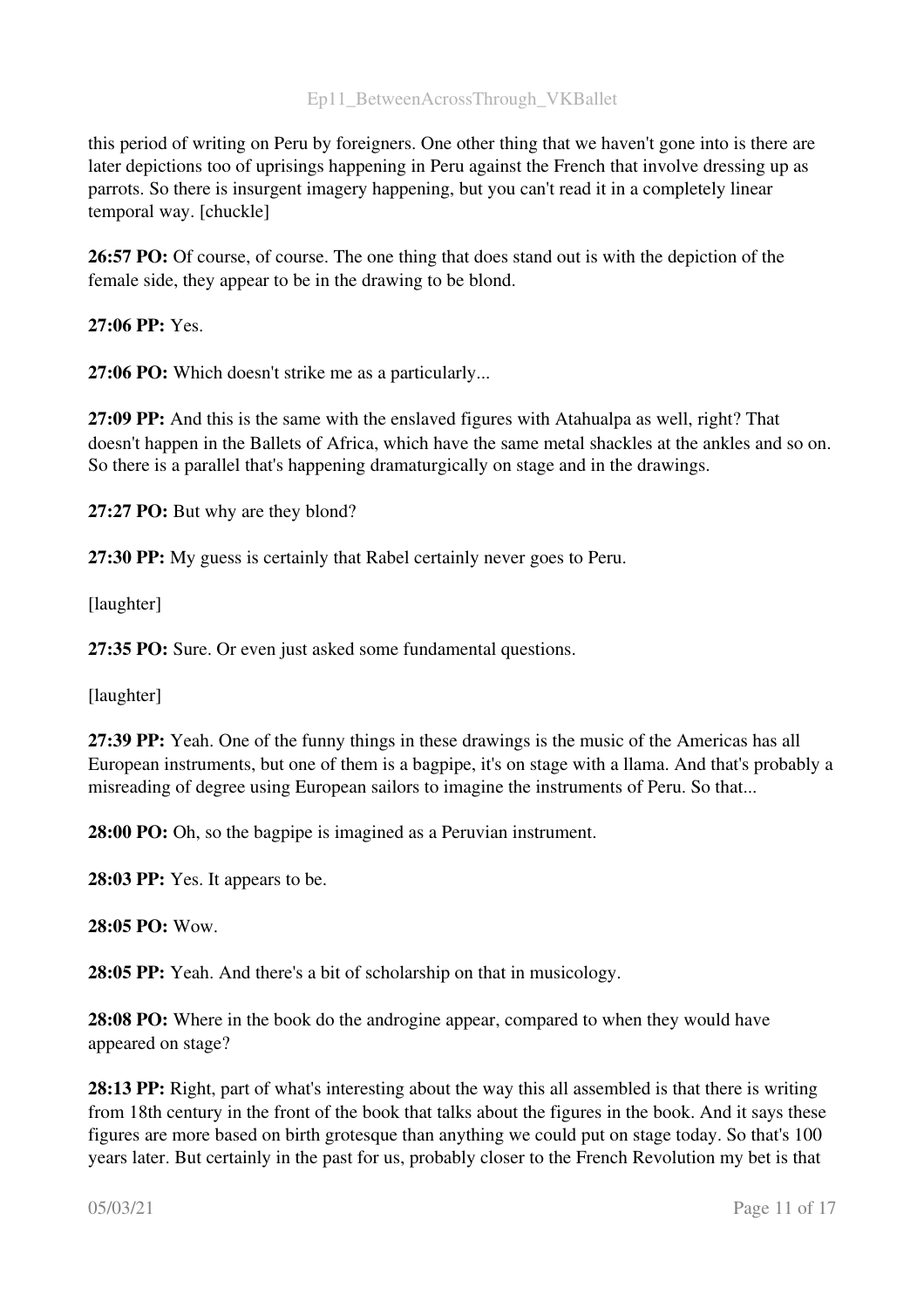this period of writing on Peru by foreigners. One other thing that we haven't gone into is there are later depictions too of uprisings happening in Peru against the French that involve dressing up as parrots. So there is insurgent imagery happening, but you can't read it in a completely linear temporal way. [chuckle]

26:57 PO: Of course, of course. The one thing that does stand out is with the depiction of the female side, they appear to be in the drawing to be blond.

27:06 PP: Yes.

27:06 PO: Which doesn't strike me as a particularly...

27:09 PP: And this is the same with the enslaved figures with Atahualpa as well, right? That doesn't happen in the Ballets of Africa, which have the same metal shackles at the ankles and so on. So there is a parallel that's happening dramaturgically on stage and in the drawings.

27:27 PO: But why are they blond?

27:30 PP: My guess is certainly that Rabel certainly never goes to Peru.

[laughter]

27:35 PO: Sure. Or even just asked some fundamental questions.

[laughter]

27:39 PP: Yeah. One of the funny things in these drawings is the music of the Americas has all European instruments, but one of them is a bagpipe, it's on stage with a llama. And that's probably a misreading of degree using European sailors to imagine the instruments of Peru. So that...

28:00 PO: Oh, so the bagpipe is imagined as a Peruvian instrument.

28:03 PP: Yes. It appears to be.

28:05 PO: Wow.

28:05 PP: Yeah. And there's a bit of scholarship on that in musicology.

28:08 PO: Where in the book do the androgine appear, compared to when they would have appeared on stage?

28:13 PP: Right, part of what's interesting about the way this all assembled is that there is writing from 18th century in the front of the book that talks about the figures in the book. And it says these figures are more based on birth grotesque than anything we could put on stage today. So that's 100 years later. But certainly in the past for us, probably closer to the French Revolution my bet is that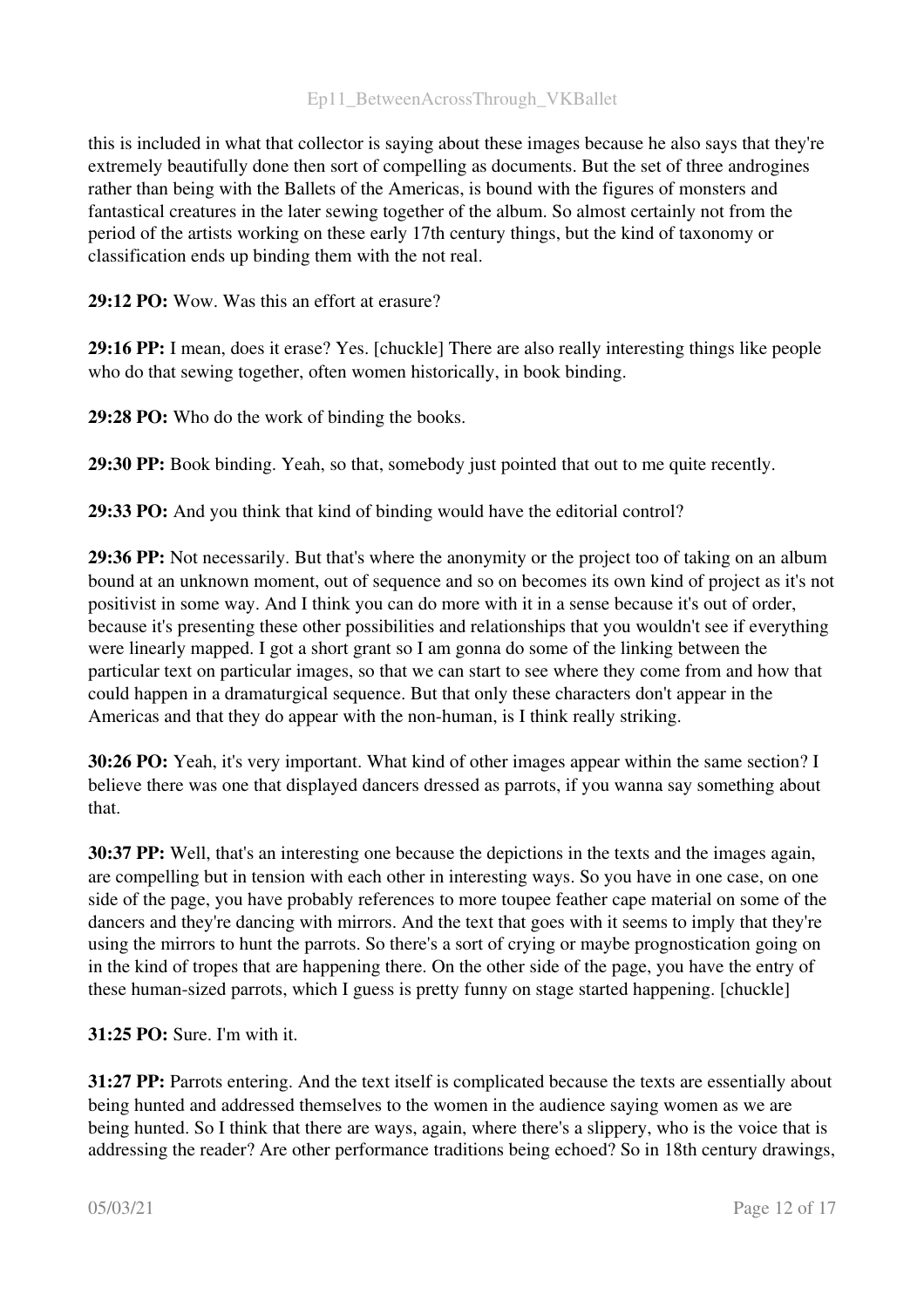this is included in what that collector is saying about these images because he also says that they're extremely beautifully done then sort of compelling as documents. But the set of three androgines rather than being with the Ballets of the Americas, is bound with the figures of monsters and fantastical creatures in the later sewing together of the album. So almost certainly not from the period of the artists working on these early 17th century things, but the kind of taxonomy or classification ends up binding them with the not real.

29:12 PO: Wow. Was this an effort at erasure?

29:16 PP: I mean, does it erase? Yes. [chuckle] There are also really interesting things like people who do that sewing together, often women historically, in book binding.

29:28 PO: Who do the work of binding the books.

29:30 PP: Book binding. Yeah, so that, somebody just pointed that out to me quite recently.

29:33 PO: And you think that kind of binding would have the editorial control?

29:36 PP: Not necessarily. But that's where the anonymity or the project too of taking on an album bound at an unknown moment, out of sequence and so on becomes its own kind of project as it's not positivist in some way. And I think you can do more with it in a sense because it's out of order, because it's presenting these other possibilities and relationships that you wouldn't see if everything were linearly mapped. I got a short grant so I am gonna do some of the linking between the particular text on particular images, so that we can start to see where they come from and how that could happen in a dramaturgical sequence. But that only these characters don't appear in the Americas and that they do appear with the non-human, is I think really striking.

30:26 PO: Yeah, it's very important. What kind of other images appear within the same section? I believe there was one that displayed dancers dressed as parrots, if you wanna say something about that.

30:37 PP: Well, that's an interesting one because the depictions in the texts and the images again, are compelling but in tension with each other in interesting ways. So you have in one case, on one side of the page, you have probably references to more toupee feather cape material on some of the dancers and they're dancing with mirrors. And the text that goes with it seems to imply that they're using the mirrors to hunt the parrots. So there's a sort of crying or maybe prognostication going on in the kind of tropes that are happening there. On the other side of the page, you have the entry of these human-sized parrots, which I guess is pretty funny on stage started happening. [chuckle]

31:25 PO: Sure. I'm with it.

31:27 PP: Parrots entering. And the text itself is complicated because the texts are essentially about being hunted and addressed themselves to the women in the audience saying women as we are being hunted. So I think that there are ways, again, where there's a slippery, who is the voice that is addressing the reader? Are other performance traditions being echoed? So in 18th century drawings,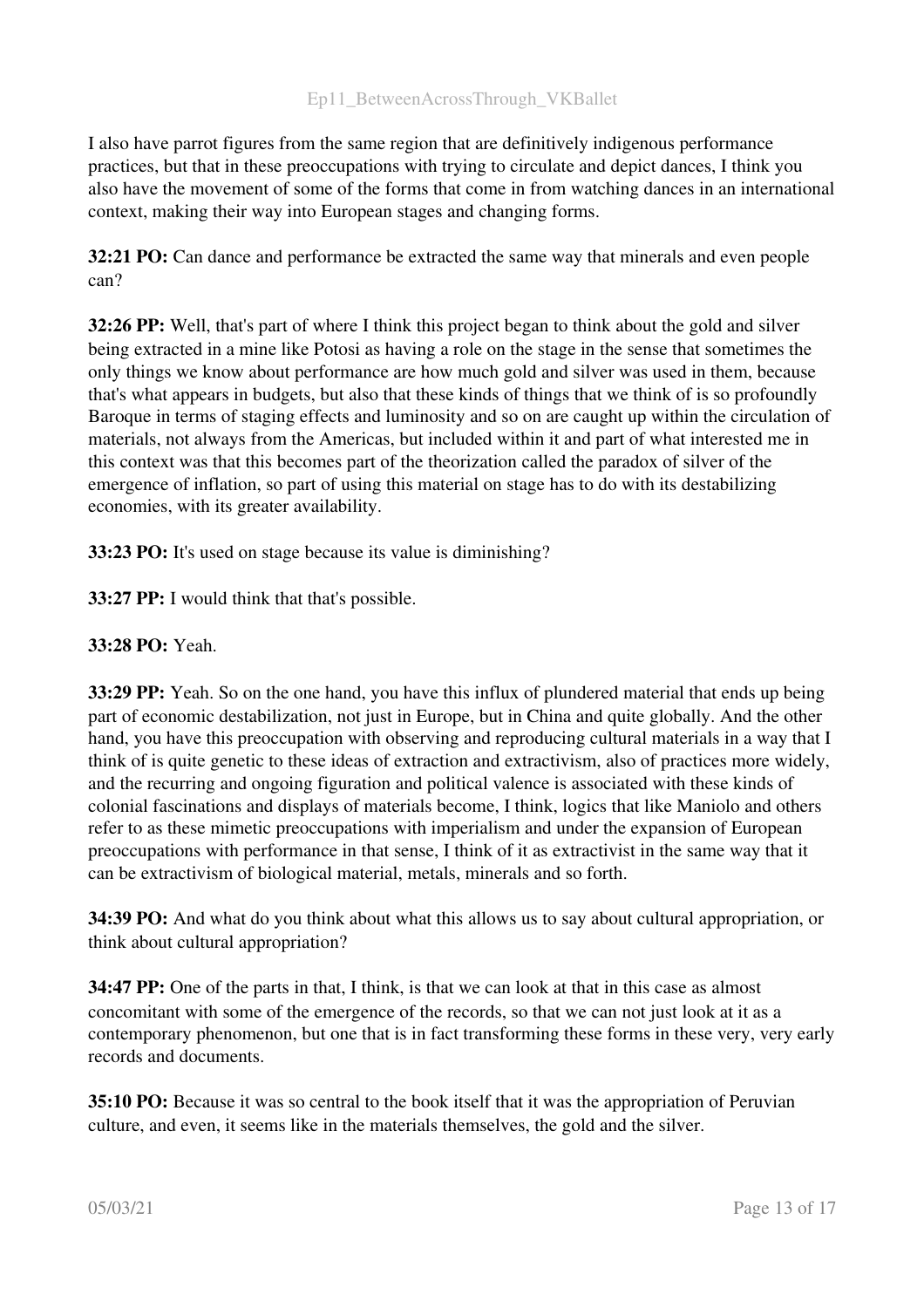I also have parrot figures from the same region that are definitively indigenous performance practices, but that in these preoccupations with trying to circulate and depict dances, I think you also have the movement of some of the forms that come in from watching dances in an international context, making their way into European stages and changing forms.

32:21 PO: Can dance and performance be extracted the same way that minerals and even people can?

32:26 PP: Well, that's part of where I think this project began to think about the gold and silver being extracted in a mine like Potosi as having a role on the stage in the sense that sometimes the only things we know about performance are how much gold and silver was used in them, because that's what appears in budgets, but also that these kinds of things that we think of is so profoundly Baroque in terms of staging effects and luminosity and so on are caught up within the circulation of materials, not always from the Americas, but included within it and part of what interested me in this context was that this becomes part of the theorization called the paradox of silver of the emergence of inflation, so part of using this material on stage has to do with its destabilizing economies, with its greater availability.

33:23 PO: It's used on stage because its value is diminishing?

33:27 PP: I would think that that's possible.

# 33:28 PO: Yeah.

33:29 PP: Yeah. So on the one hand, you have this influx of plundered material that ends up being part of economic destabilization, not just in Europe, but in China and quite globally. And the other hand, you have this preoccupation with observing and reproducing cultural materials in a way that I think of is quite genetic to these ideas of extraction and extractivism, also of practices more widely, and the recurring and ongoing figuration and political valence is associated with these kinds of colonial fascinations and displays of materials become, I think, logics that like Maniolo and others refer to as these mimetic preoccupations with imperialism and under the expansion of European preoccupations with performance in that sense, I think of it as extractivist in the same way that it can be extractivism of biological material, metals, minerals and so forth.

34:39 PO: And what do you think about what this allows us to say about cultural appropriation, or think about cultural appropriation?

34:47 PP: One of the parts in that, I think, is that we can look at that in this case as almost concomitant with some of the emergence of the records, so that we can not just look at it as a contemporary phenomenon, but one that is in fact transforming these forms in these very, very early records and documents.

35:10 PO: Because it was so central to the book itself that it was the appropriation of Peruvian culture, and even, it seems like in the materials themselves, the gold and the silver.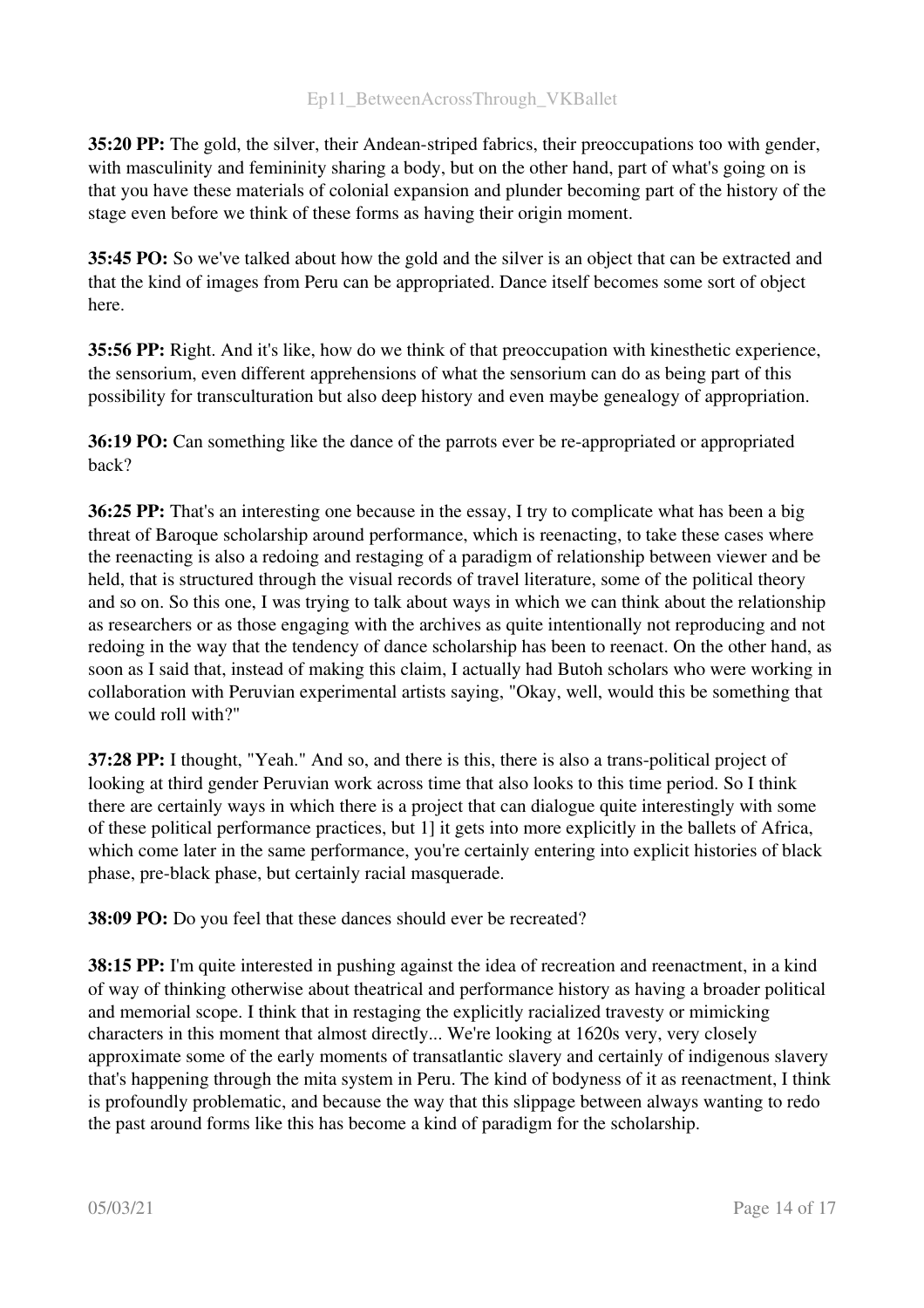35:20 PP: The gold, the silver, their Andean-striped fabrics, their preoccupations too with gender, with masculinity and femininity sharing a body, but on the other hand, part of what's going on is that you have these materials of colonial expansion and plunder becoming part of the history of the stage even before we think of these forms as having their origin moment.

35:45 PO: So we've talked about how the gold and the silver is an object that can be extracted and that the kind of images from Peru can be appropriated. Dance itself becomes some sort of object here.

35:56 PP: Right. And it's like, how do we think of that preoccupation with kinesthetic experience, the sensorium, even different apprehensions of what the sensorium can do as being part of this possibility for transculturation but also deep history and even maybe genealogy of appropriation.

36:19 PO: Can something like the dance of the parrots ever be re-appropriated or appropriated back?

36:25 PP: That's an interesting one because in the essay, I try to complicate what has been a big threat of Baroque scholarship around performance, which is reenacting, to take these cases where the reenacting is also a redoing and restaging of a paradigm of relationship between viewer and be held, that is structured through the visual records of travel literature, some of the political theory and so on. So this one, I was trying to talk about ways in which we can think about the relationship as researchers or as those engaging with the archives as quite intentionally not reproducing and not redoing in the way that the tendency of dance scholarship has been to reenact. On the other hand, as soon as I said that, instead of making this claim, I actually had Butoh scholars who were working in collaboration with Peruvian experimental artists saying, "Okay, well, would this be something that we could roll with?"

37:28 PP: I thought, "Yeah." And so, and there is this, there is also a trans-political project of looking at third gender Peruvian work across time that also looks to this time period. So I think there are certainly ways in which there is a project that can dialogue quite interestingly with some of these political performance practices, but 1] it gets into more explicitly in the ballets of Africa, which come later in the same performance, you're certainly entering into explicit histories of black phase, pre-black phase, but certainly racial masquerade.

38:09 PO: Do you feel that these dances should ever be recreated?

38:15 PP: I'm quite interested in pushing against the idea of recreation and reenactment, in a kind of way of thinking otherwise about theatrical and performance history as having a broader political and memorial scope. I think that in restaging the explicitly racialized travesty or mimicking characters in this moment that almost directly... We're looking at 1620s very, very closely approximate some of the early moments of transatlantic slavery and certainly of indigenous slavery that's happening through the mita system in Peru. The kind of bodyness of it as reenactment, I think is profoundly problematic, and because the way that this slippage between always wanting to redo the past around forms like this has become a kind of paradigm for the scholarship.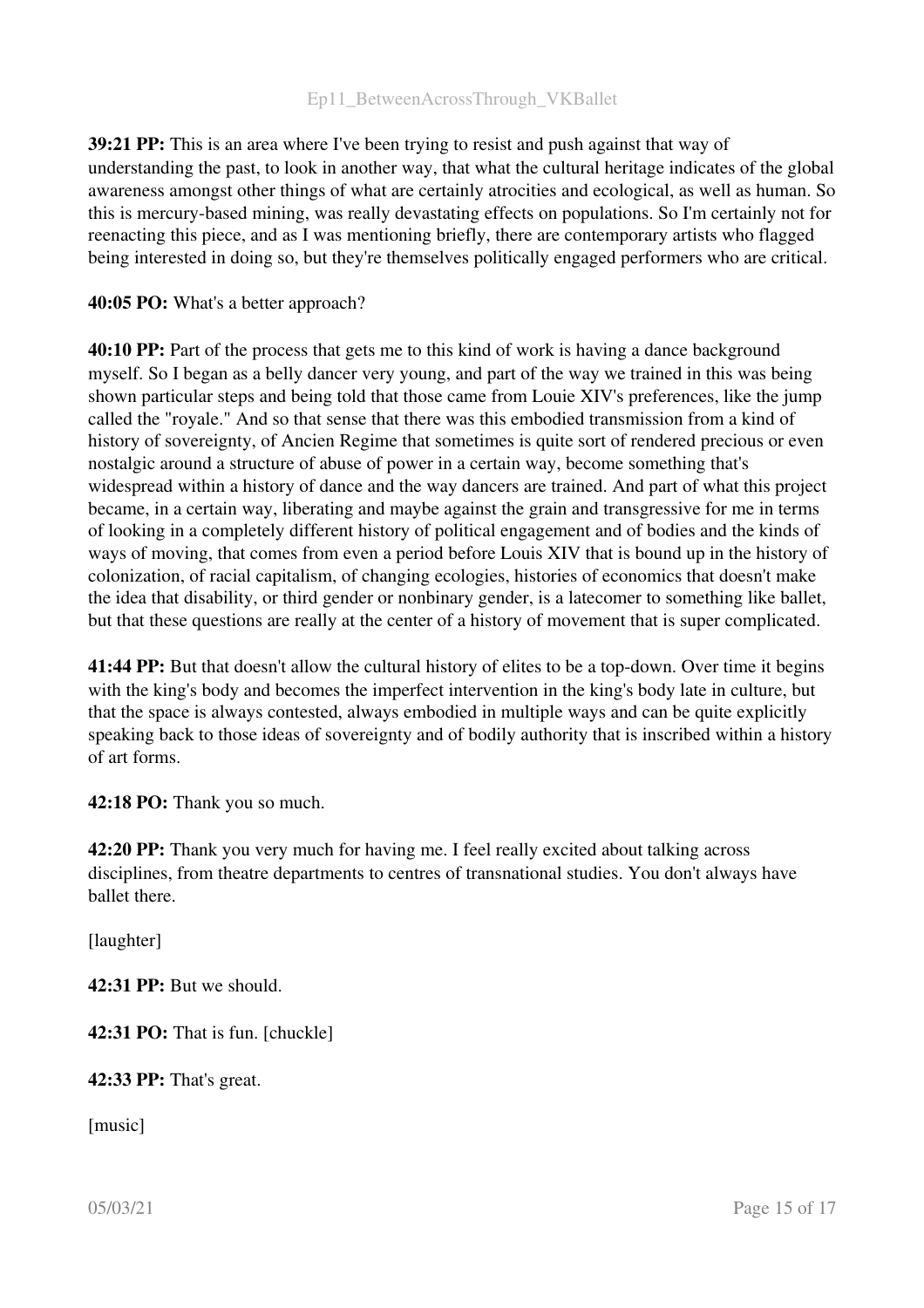39:21 PP: This is an area where I've been trying to resist and push against that way of understanding the past, to look in another way, that what the cultural heritage indicates of the global awareness amongst other things of what are certainly atrocities and ecological, as well as human. So this is mercurybased mining, was really devastating effects on populations. So I'm certainly not for reenacting this piece, and as I was mentioning briefly, there are contemporary artists who flagged being interested in doing so, but they're themselves politically engaged performers who are critical.

#### 40:05 PO: What's a better approach?

40:10 PP: Part of the process that gets me to this kind of work is having a dance background myself. So I began as a belly dancer very young, and part of the way we trained in this was being shown particular steps and being told that those came from Louie XIV's preferences, like the jump called the "royale." And so that sense that there was this embodied transmission from a kind of history of sovereignty, of Ancien Regime that sometimes is quite sort of rendered precious or even nostalgic around a structure of abuse of power in a certain way, become something that's widespread within a history of dance and the way dancers are trained. And part of what this project became, in a certain way, liberating and maybe against the grain and transgressive for me in terms of looking in a completely different history of political engagement and of bodies and the kinds of ways of moving, that comes from even a period before Louis XIV that is bound up in the history of colonization, of racial capitalism, of changing ecologies, histories of economics that doesn't make the idea that disability, or third gender or nonbinary gender, is a latecomer to something like ballet, but that these questions are really at the center of a history of movement that is super complicated.

41:44 PP: But that doesn't allow the cultural history of elites to be a top-down. Over time it begins with the king's body and becomes the imperfect intervention in the king's body late in culture, but that the space is always contested, always embodied in multiple ways and can be quite explicitly speaking back to those ideas of sovereignty and of bodily authority that is inscribed within a history of art forms.

42:18 PO: Thank you so much.

42:20 PP: Thank you very much for having me. I feel really excited about talking across disciplines, from theatre departments to centres of transnational studies. You don't always have ballet there.

[laughter]

42:31 PP: But we should.

42:31 PO: That is fun. [chuckle]

42:33 PP: That's great.

[music]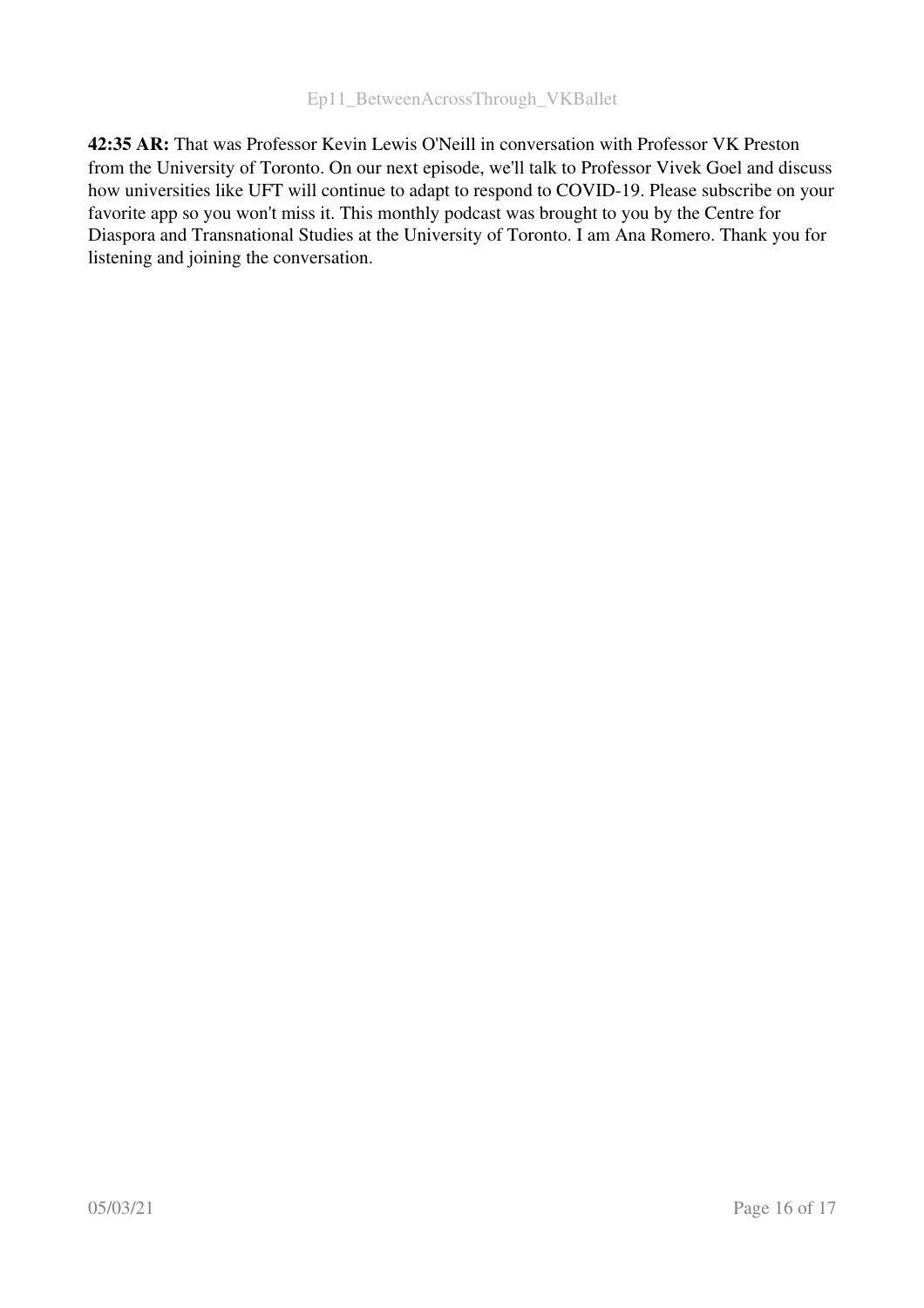42:35 AR: That was Professor Kevin Lewis O'Neill in conversation with Professor VK Preston from the University of Toronto. On our next episode, we'll talk to Professor Vivek Goel and discuss how universities like UFT will continue to adapt to respond to COVID-19. Please subscribe on your favorite app so you won't miss it. This monthly podcast was brought to you by the Centre for Diaspora and Transnational Studies at the University of Toronto. I am Ana Romero. Thank you for listening and joining the conversation.